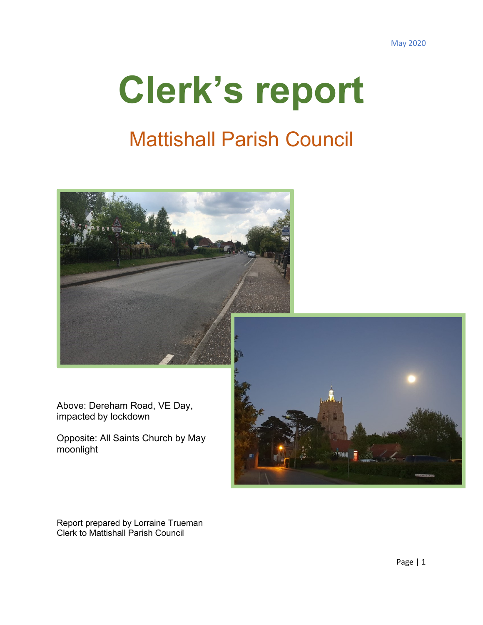# **Clerk's report**

## Mattishall Parish Council



Above: Dereham Road, VE Day, impacted by lockdown

Opposite: All Saints Church by May moonlight



Report prepared by Lorraine Trueman Clerk to Mattishall Parish Council